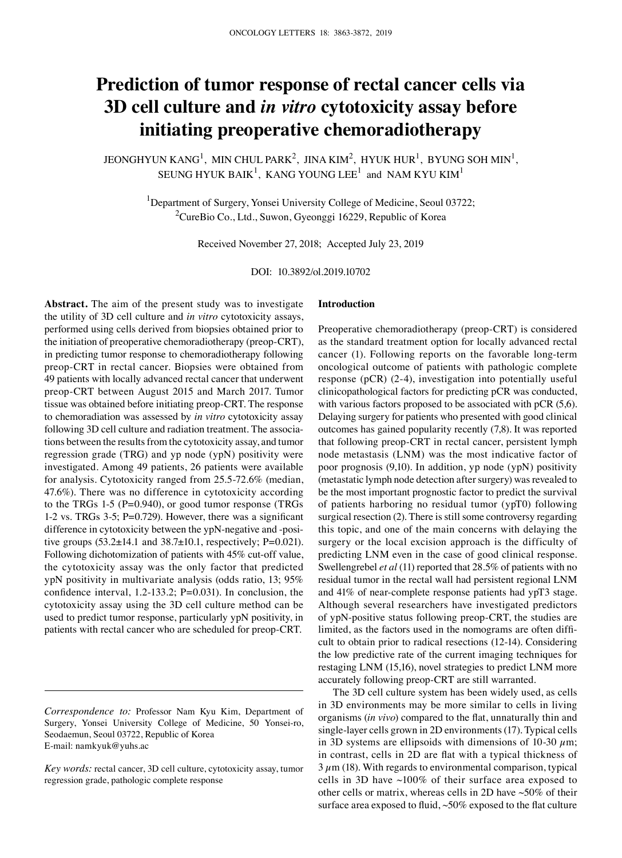# **Prediction of tumor response of rectal cancer cells via 3D cell culture and** *in vitro* **cytotoxicity assay before initiating preoperative chemoradiotherapy**

JEONGHYUN KANG<sup>1</sup>, MIN CHUL PARK<sup>2</sup>, JINA KIM<sup>2</sup>, HYUK HUR<sup>1</sup>, BYUNG SOH MIN<sup>1</sup>, SEUNG HYUK BAIK<sup>1</sup>, KANG YOUNG LEE<sup>1</sup> and NAM KYU KIM<sup>1</sup>

> <sup>1</sup>Department of Surgery, Yonsei University College of Medicine, Seoul 03722;  $^{2}$ CureBio Co., Ltd., Suwon, Gyeonggi 16229, Republic of Korea

> > Received November 27, 2018; Accepted July 23, 2019

DOI: 10.3892/ol.2019.10702

**Abstract.** The aim of the present study was to investigate the utility of 3D cell culture and *in vitro* cytotoxicity assays, performed using cells derived from biopsies obtained prior to the initiation of preoperative chemoradiotherapy (preop-CRT), in predicting tumor response to chemoradiotherapy following preop-CRT in rectal cancer. Biopsies were obtained from 49 patients with locally advanced rectal cancer that underwent preop-CRT between August 2015 and March 2017. Tumor tissue was obtained before initiating preop-CRT. The response to chemoradiation was assessed by *in vitro* cytotoxicity assay following 3D cell culture and radiation treatment. The associations between the results from the cytotoxicity assay, and tumor regression grade (TRG) and yp node (ypN) positivity were investigated. Among 49 patients, 26 patients were available for analysis. Cytotoxicity ranged from 25.5-72.6% (median, 47.6%). There was no difference in cytotoxicity according to the TRGs 1-5 (P=0.940), or good tumor response (TRGs 1‑2 vs. TRGs 3‑5; P=0.729). However, there was a significant difference in cytotoxicity between the ypN-negative and -positive groups  $(53.2 \pm 14.1 \text{ and } 38.7 \pm 10.1, \text{ respectively}; \text{P} = 0.021).$ Following dichotomization of patients with 45% cut-off value, the cytotoxicity assay was the only factor that predicted ypN positivity in multivariate analysis (odds ratio, 13; 95% confidence interval, 1.2‑133.2; P=0.031). In conclusion, the cytotoxicity assay using the 3D cell culture method can be used to predict tumor response, particularly ypN positivity, in patients with rectal cancer who are scheduled for preop-CRT.

# **Introduction**

Preoperative chemoradiotherapy (preop-CRT) is considered as the standard treatment option for locally advanced rectal cancer (1). Following reports on the favorable long-term oncological outcome of patients with pathologic complete response (pCR) (2-4), investigation into potentially useful clinicopathological factors for predicting pCR was conducted, with various factors proposed to be associated with pCR  $(5,6)$ . Delaying surgery for patients who presented with good clinical outcomes has gained popularity recently (7,8). It was reported that following preop-CRT in rectal cancer, persistent lymph node metastasis (LNM) was the most indicative factor of poor prognosis (9,10). In addition, yp node (ypN) positivity (metastatic lymph node detection after surgery) was revealed to be the most important prognostic factor to predict the survival of patients harboring no residual tumor (ypT0) following surgical resection (2). There is still some controversy regarding this topic, and one of the main concerns with delaying the surgery or the local excision approach is the difficulty of predicting LNM even in the case of good clinical response. Swellengrebel *et al* (11) reported that 28.5% of patients with no residual tumor in the rectal wall had persistent regional LNM and 41% of near-complete response patients had ypT3 stage. Although several researchers have investigated predictors of ypN-positive status following preop-CRT, the studies are limited, as the factors used in the nomograms are often difficult to obtain prior to radical resections (12-14). Considering the low predictive rate of the current imaging techniques for restaging LNM (15,16), novel strategies to predict LNM more accurately following preop-CRT are still warranted.

The 3D cell culture system has been widely used, as cells in 3D environments may be more similar to cells in living organisms (*in vivo*) compared to the flat, unnaturally thin and single-layer cells grown in 2D environments(17). Typical cells in 3D systems are ellipsoids with dimensions of 10-30  $\mu$ m; in contrast, cells in 2D are flat with a typical thickness of  $3 \mu$ m (18). With regards to environmental comparison, typical cells in 3D have ~100% of their surface area exposed to other cells or matrix, whereas cells in 2D have  $~50\%$  of their surface area exposed to fluid, ~50% exposed to the flat culture

*Correspondence to:* Professor Nam Kyu Kim, Department of Surgery, Yonsei University College of Medicine, 50 Yonsei-ro, Seodaemun, Seoul 03722, Republic of Korea E‑mail: namkyuk@yuhs.ac

*Key words:* rectal cancer, 3D cell culture, cytotoxicity assay, tumor regression grade, pathologic complete response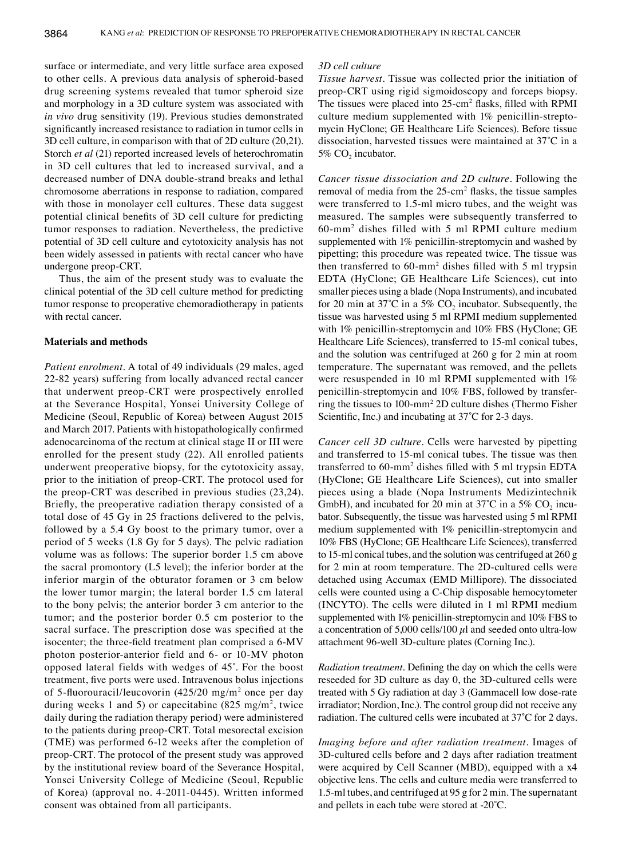surface or intermediate, and very little surface area exposed to other cells. A previous data analysis of spheroid-based drug screening systems revealed that tumor spheroid size and morphology in a 3D culture system was associated with *in vivo* drug sensitivity (19). Previous studies demonstrated significantly increased resistance to radiation in tumor cells in 3D cell culture, in comparison with that of 2D culture (20,21). Storch *et al* (21) reported increased levels of heterochromatin in 3D cell cultures that led to increased survival, and a decreased number of DNA double‑strand breaks and lethal chromosome aberrations in response to radiation, compared with those in monolayer cell cultures. These data suggest potential clinical benefits of 3D cell culture for predicting tumor responses to radiation. Nevertheless, the predictive potential of 3D cell culture and cytotoxicity analysis has not been widely assessed in patients with rectal cancer who have undergone preop-CRT.

Thus, the aim of the present study was to evaluate the clinical potential of the 3D cell culture method for predicting tumor response to preoperative chemoradiotherapy in patients with rectal cancer.

# **Materials and methods**

*Patient enrolment.* A total of 49 individuals (29 males, aged 22-82 years) suffering from locally advanced rectal cancer that underwent preop-CRT were prospectively enrolled at the Severance Hospital, Yonsei University College of Medicine (Seoul, Republic of Korea) between August 2015 and March 2017. Patients with histopathologically confirmed adenocarcinoma of the rectum at clinical stage II or III were enrolled for the present study (22). All enrolled patients underwent preoperative biopsy, for the cytotoxicity assay, prior to the initiation of preop-CRT. The protocol used for the preop-CRT was described in previous studies (23,24). Briefly, the preoperative radiation therapy consisted of a total dose of 45 Gy in 25 fractions delivered to the pelvis, followed by a 5.4 Gy boost to the primary tumor, over a period of 5 weeks (1.8 Gy for 5 days). The pelvic radiation volume was as follows: The superior border 1.5 cm above the sacral promontory (L5 level); the inferior border at the inferior margin of the obturator foramen or 3 cm below the lower tumor margin; the lateral border 1.5 cm lateral to the bony pelvis; the anterior border 3 cm anterior to the tumor; and the posterior border 0.5 cm posterior to the sacral surface. The prescription dose was specified at the isocenter; the three‑field treatment plan comprised a 6‑MV photon posterior-anterior field and 6- or 10-MV photon opposed lateral fields with wedges of 45˚. For the boost treatment, five ports were used. Intravenous bolus injections of 5‑fluorouracil/leucovorin (425/20 mg/m2 once per day during weeks 1 and 5) or capecitabine  $(825 \text{ mg/m}^2, \text{twice})$ daily during the radiation therapy period) were administered to the patients during preop-CRT. Total mesorectal excision (TME) was performed 6‑12 weeks after the completion of preop-CRT. The protocol of the present study was approved by the institutional review board of the Severance Hospital, Yonsei University College of Medicine (Seoul, Republic of Korea) (approval no. 4-2011-0445). Written informed consent was obtained from all participants.

#### *3D cell culture*

*Tissue harvest.* Tissue was collected prior the initiation of preop-CRT using rigid sigmoidoscopy and forceps biopsy. The tissues were placed into  $25$ -cm<sup>2</sup> flasks, filled with RPMI culture medium supplemented with 1% penicillin-streptomycin HyClone; GE Healthcare Life Sciences). Before tissue dissociation, harvested tissues were maintained at 37˚C in a 5% CO<sub>2</sub> incubator.

*Cancer tissue dissociation and 2D culture.* Following the removal of media from the  $25$ -cm<sup>2</sup> flasks, the tissue samples were transferred to 1.5-ml micro tubes, and the weight was measured. The samples were subsequently transferred to 60-mm2 dishes filled with 5 ml RPMI culture medium supplemented with 1% penicillin-streptomycin and washed by pipetting; this procedure was repeated twice. The tissue was then transferred to  $60$ -mm<sup>2</sup> dishes filled with 5 ml trypsin EDTA (HyClone; GE Healthcare Life Sciences), cut into smaller pieces using a blade (Nopa Instruments), and incubated for 20 min at  $37^{\circ}$ C in a 5% CO<sub>2</sub> incubator. Subsequently, the tissue was harvested using 5 ml RPMI medium supplemented with 1% penicillin-streptomycin and 10% FBS (HyClone; GE Healthcare Life Sciences), transferred to 15-ml conical tubes, and the solution was centrifuged at 260 g for 2 min at room temperature. The supernatant was removed, and the pellets were resuspended in 10 ml RPMI supplemented with 1% penicillin-streptomycin and 10% FBS, followed by transferring the tissues to 100-mm2 2D culture dishes (Thermo Fisher Scientific, Inc.) and incubating at 37<sup>°</sup>C for 2-3 days.

*Cancer cell 3D culture.* Cells were harvested by pipetting and transferred to 15-ml conical tubes. The tissue was then transferred to 60-mm2 dishes filled with 5 ml trypsin EDTA (HyClone; GE Healthcare Life Sciences), cut into smaller pieces using a blade (Nopa Instruments Medizintechnik GmbH), and incubated for 20 min at  $37^{\circ}$ C in a  $5\%$  CO<sub>2</sub> incubator. Subsequently, the tissue was harvested using 5 ml RPMI medium supplemented with 1% penicillin-streptomycin and 10% FBS (HyClone; GE Healthcare Life Sciences), transferred to 15-ml conical tubes, and the solution was centrifuged at 260 g for 2 min at room temperature. The 2D-cultured cells were detached using Accumax (EMD Millipore). The dissociated cells were counted using a C-Chip disposable hemocytometer (INCYTO). The cells were diluted in 1 ml RPMI medium supplemented with 1% penicillin-streptomycin and 10% FBS to a concentration of 5,000 cells/100  $\mu$ l and seeded onto ultra-low attachment 96-well 3D-culture plates (Corning Inc.).

*Radiation treatment.* Defining the day on which the cells were reseeded for 3D culture as day 0, the 3D-cultured cells were treated with 5 Gy radiation at day 3 (Gammacell low dose-rate irradiator; Nordion, Inc.). The control group did not receive any radiation. The cultured cells were incubated at 37˚C for 2 days.

*Imaging before and after radiation treatment.* Images of 3D-cultured cells before and 2 days after radiation treatment were acquired by Cell Scanner (MBD), equipped with a x4 objective lens. The cells and culture media were transferred to 1.5-ml tubes, and centrifuged at 95 g for 2 min. The supernatant and pellets in each tube were stored at ‑20˚C.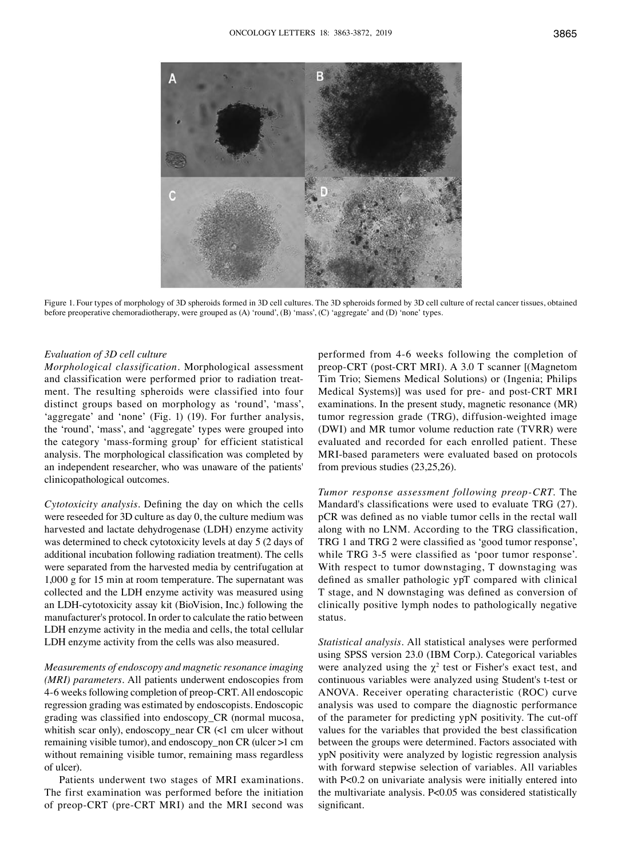

Figure 1. Four types of morphology of 3D spheroids formed in 3D cell cultures. The 3D spheroids formed by 3D cell culture of rectal cancer tissues, obtained before preoperative chemoradiotherapy, were grouped as (A) 'round', (B) 'mass', (C) 'aggregate' and (D) 'none' types.

# *Evaluation of 3D cell culture*

*Morphological classification.* Morphological assessment and classification were performed prior to radiation treatment. The resulting spheroids were classified into four distinct groups based on morphology as 'round', 'mass', 'aggregate' and 'none' (Fig. 1) (19). For further analysis, the 'round', 'mass', and 'aggregate' types were grouped into the category 'mass-forming group' for efficient statistical analysis. The morphological classification was completed by an independent researcher, who was unaware of the patients' clinicopathological outcomes.

*Cytotoxicity analysis.* Defining the day on which the cells were reseeded for 3D culture as day 0, the culture medium was harvested and lactate dehydrogenase (LDH) enzyme activity was determined to check cytotoxicity levels at day 5 (2 days of additional incubation following radiation treatment). The cells were separated from the harvested media by centrifugation at 1,000 g for 15 min at room temperature. The supernatant was collected and the LDH enzyme activity was measured using an LDH‑cytotoxicity assay kit (BioVision, Inc.) following the manufacturer's protocol. In order to calculate the ratio between LDH enzyme activity in the media and cells, the total cellular LDH enzyme activity from the cells was also measured.

*Measurements of endoscopy and magnetic resonance imaging (MRI) parameters.* All patients underwent endoscopies from 4‑6 weeks following completion of preop‑CRT. All endoscopic regression grading was estimated by endoscopists. Endoscopic grading was classified into endoscopy\_CR (normal mucosa, whitish scar only), endoscopy\_near CR (<1 cm ulcer without remaining visible tumor), and endoscopy\_non CR (ulcer >1 cm without remaining visible tumor, remaining mass regardless of ulcer).

Patients underwent two stages of MRI examinations. The first examination was performed before the initiation of preop-CRT (pre-CRT MRI) and the MRI second was performed from 4‑6 weeks following the completion of preop-CRT (post-CRT MRI). A 3.0 T scanner [(Magnetom Tim Trio; Siemens Medical Solutions) or (Ingenia; Philips Medical Systems)] was used for pre- and post-CRT MRI examinations. In the present study, magnetic resonance (MR) tumor regression grade (TRG), diffusion-weighted image (DWI) and MR tumor volume reduction rate (TVRR) were evaluated and recorded for each enrolled patient. These MRI-based parameters were evaluated based on protocols from previous studies (23,25,26).

*Tumor response assessment following preop‑CRT.* The Mandard's classifications were used to evaluate TRG (27). pCR was defined as no viable tumor cells in the rectal wall along with no LNM. According to the TRG classification, TRG 1 and TRG 2 were classified as 'good tumor response', while TRG 3-5 were classified as 'poor tumor response'. With respect to tumor downstaging, T downstaging was defined as smaller pathologic ypT compared with clinical T stage, and N downstaging was defined as conversion of clinically positive lymph nodes to pathologically negative status.

*Statistical analysis.* All statistical analyses were performed using SPSS version 23.0 (IBM Corp.). Categorical variables were analyzed using the  $\chi^2$  test or Fisher's exact test, and continuous variables were analyzed using Student's t-test or ANOVA. Receiver operating characteristic (ROC) curve analysis was used to compare the diagnostic performance of the parameter for predicting ypN positivity. The cut-off values for the variables that provided the best classification between the groups were determined. Factors associated with ypN positivity were analyzed by logistic regression analysis with forward stepwise selection of variables. All variables with P<0.2 on univariate analysis were initially entered into the multivariate analysis. P<0.05 was considered statistically significant.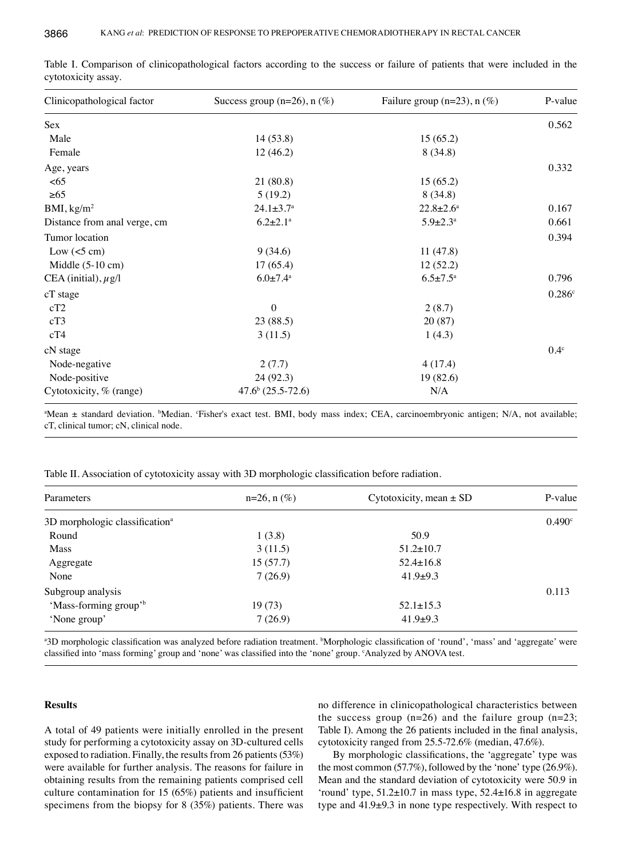| Clinicopathological factor   | Success group $(n=26)$ , n $(\%)$ | Failure group $(n=23)$ , n $(\%)$ | P-value     |  |
|------------------------------|-----------------------------------|-----------------------------------|-------------|--|
| Sex                          |                                   |                                   | 0.562       |  |
| Male                         | 14(53.8)                          | 15(65.2)                          |             |  |
| Female                       | 12(46.2)                          | 8(34.8)                           |             |  |
| Age, years                   |                                   |                                   | 0.332       |  |
| <65                          | 21(80.8)                          | 15(65.2)                          |             |  |
| $\geq 65$                    | 5(19.2)                           | 8(34.8)                           |             |  |
| BMI, kg/m <sup>2</sup>       | $24.1 \pm 3.7^{\circ}$            | $22.8 \pm 2.6^{\circ}$            | 0.167       |  |
| Distance from anal verge, cm | $6.2 \pm 2.1^a$                   | $5.9 \pm 2.3^{\text{a}}$          | 0.661       |  |
| Tumor location               |                                   |                                   | 0.394       |  |
| Low $(<5$ cm)                | 9(34.6)                           | 11(47.8)                          |             |  |
| Middle $(5-10 \text{ cm})$   | 17(65.4)                          | 12(52.2)                          |             |  |
| CEA (initial), $\mu$ g/l     | $6.0{\pm}7.4^{\mathrm{a}}$        | $6.5 \pm 7.5^{\text{a}}$          | 0.796       |  |
| cT stage                     |                                   |                                   | 0.286c      |  |
| cT2                          | $\boldsymbol{0}$                  | 2(8.7)                            |             |  |
| cT3                          | 23(88.5)                          | 20(87)                            |             |  |
| cT4                          | 3(11.5)                           | 1(4.3)                            |             |  |
| cN stage                     |                                   |                                   | $0.4^\circ$ |  |
| Node-negative                | 2(7.7)                            | 4(17.4)                           |             |  |
| Node-positive                | 24(92.3)                          | 19(82.6)                          |             |  |
| Cytotoxicity, % (range)      | $47.6^{\mathrm{b}}$ (25.5-72.6)   | N/A                               |             |  |

|                     | Table I. Comparison of clinicopathological factors according to the success or failure of patients that were included in the |  |  |  |  |  |  |  |
|---------------------|------------------------------------------------------------------------------------------------------------------------------|--|--|--|--|--|--|--|
| cytotoxicity assay. |                                                                                                                              |  |  |  |  |  |  |  |

<sup>a</sup>Mean ± standard deviation. <sup>b</sup>Median. °Fisher's exact test. BMI, body mass index; CEA, carcinoembryonic antigen; N/A, not available; cT, clinical tumor; cN, clinical node.

Table II. Association of cytotoxicity assay with 3D morphologic classification before radiation.

| Parameters                                 | $n=26, n(\%)$ | Cytotoxicity, mean $\pm$ SD | P-value            |
|--------------------------------------------|---------------|-----------------------------|--------------------|
| 3D morphologic classification <sup>a</sup> |               |                             | 0.490 <sup>c</sup> |
| Round                                      | 1(3.8)        | 50.9                        |                    |
| <b>Mass</b>                                | 3(11.5)       | $51.2 \pm 10.7$             |                    |
| Aggregate                                  | 15(57.7)      | $52.4 \pm 16.8$             |                    |
| None                                       | 7(26.9)       | $41.9+9.3$                  |                    |
| Subgroup analysis                          |               |                             | 0.113              |
| 'Mass-forming group'b                      | 19(73)        | $52.1 \pm 15.3$             |                    |
| 'None group'                               | 7(26.9)       | $41.9+9.3$                  |                    |

a 3D morphologic classification was analyzed before radiation treatment. <sup>b</sup> Morphologic classification of 'round', 'mass' and 'aggregate' were classified into 'mass forming' group and 'none' was classified into the 'none' group. 'Analyzed by ANOVA test.

# **Results**

A total of 49 patients were initially enrolled in the present study for performing a cytotoxicity assay on 3D-cultured cells exposed to radiation. Finally, the results from 26 patients (53%) were available for further analysis. The reasons for failure in obtaining results from the remaining patients comprised cell culture contamination for 15 (65%) patients and insufficient specimens from the biopsy for 8 (35%) patients. There was no difference in clinicopathological characteristics between the success group  $(n=26)$  and the failure group  $(n=23)$ ; Table I). Among the 26 patients included in the final analysis, cytotoxicity ranged from 25.5-72.6% (median, 47.6%).

By morphologic classifications, the 'aggregate' type was the most common (57.7%), followed by the 'none' type (26.9%). Mean and the standard deviation of cytotoxicity were 50.9 in 'round' type,  $51.2 \pm 10.7$  in mass type,  $52.4 \pm 16.8$  in aggregate type and 41.9±9.3 in none type respectively. With respect to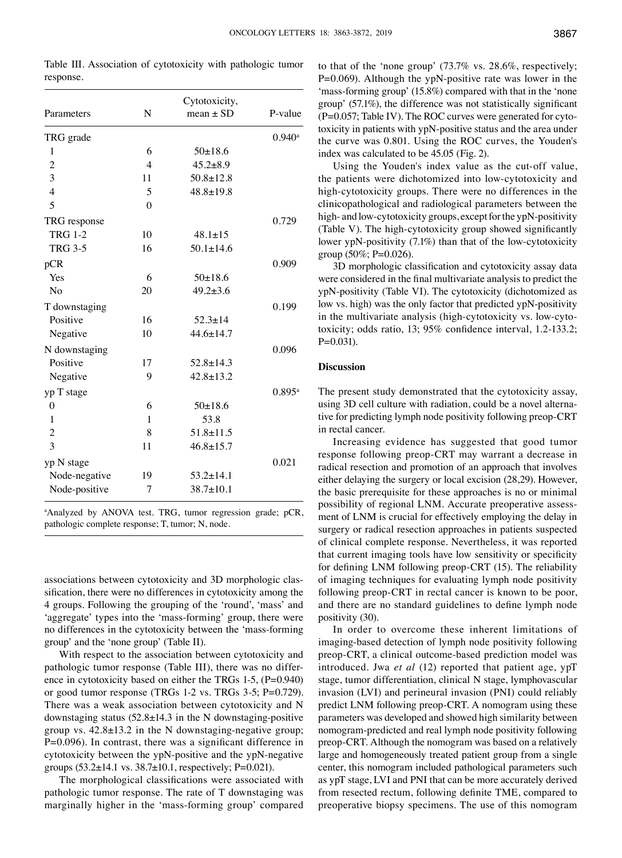|                |                | Cytotoxicity,   |                      |
|----------------|----------------|-----------------|----------------------|
| Parameters     | N              | mean $\pm$ SD   | P-value              |
| TRG grade      |                |                 | $0.940$ <sup>a</sup> |
| 1              | 6              | $50+18.6$       |                      |
| $\overline{c}$ | $\overline{4}$ | $45.2 \pm 8.9$  |                      |
| 3              | 11             | $50.8 \pm 12.8$ |                      |
| $\overline{4}$ | 5              | $48.8 \pm 19.8$ |                      |
| 5              | $\theta$       |                 |                      |
| TRG response   |                |                 | 0.729                |
| <b>TRG 1-2</b> | 10             | $48.1 \pm 15$   |                      |
| <b>TRG 3-5</b> | 16             | $50.1 \pm 14.6$ |                      |
| pCR            |                |                 | 0.909                |
| Yes            | 6              | $50\pm18.6$     |                      |
| No             | 20             | $49.2 \pm 3.6$  |                      |
| T downstaging  |                |                 | 0.199                |
| Positive       | 16             | $52.3 \pm 14$   |                      |
| Negative       | 10             | $44.6 \pm 14.7$ |                      |
| N downstaging  |                |                 | 0.096                |
| Positive       | 17             | $52.8 \pm 14.3$ |                      |
| Negative       | 9              | $42.8 \pm 13.2$ |                      |
| yp T stage     |                |                 | $0.895^{\rm a}$      |
| $\theta$       | 6              | $50\pm18.6$     |                      |
| 1              | 1              | 53.8            |                      |
| $\overline{c}$ | 8              | $51.8 \pm 11.5$ |                      |
| 3              | 11             | $46.8 \pm 15.7$ |                      |
| yp N stage     |                |                 | 0.021                |
| Node-negative  | 19             | $53.2 \pm 14.1$ |                      |
| Node-positive  | 7              | $38.7 \pm 10.1$ |                      |
|                |                |                 |                      |

Table III. Association of cytotoxicity with pathologic tumor response.

a Analyzed by ANOVA test. TRG, tumor regression grade; pCR, pathologic complete response; T, tumor; N, node.

associations between cytotoxicity and 3D morphologic classification, there were no differences in cytotoxicity among the 4 groups. Following the grouping of the 'round', 'mass' and 'aggregate' types into the 'mass-forming' group, there were no differences in the cytotoxicity between the 'mass-forming group' and the 'none group' (Table II).

With respect to the association between cytotoxicity and pathologic tumor response (Table III), there was no difference in cytotoxicity based on either the TRGs 1-5, (P=0.940) or good tumor response (TRGs 1-2 vs. TRGs 3-5; P=0.729). There was a weak association between cytotoxicity and N downstaging status  $(52.8 \pm 14.3 \text{ in the N}$  downstaging-positive group vs. 42.8±13.2 in the N downstaging-negative group; P=0.096). In contrast, there was a significant difference in cytotoxicity between the ypN-positive and the ypN-negative groups  $(53.2 \pm 14.1 \text{ vs. } 38.7 \pm 10.1, \text{ respectively}; \text{P} = 0.021).$ 

The morphological classifications were associated with pathologic tumor response. The rate of T downstaging was marginally higher in the 'mass-forming group' compared to that of the 'none group' (73.7% vs. 28.6%, respectively;  $P=0.069$ . Although the ypN-positive rate was lower in the 'mass-forming group' (15.8%) compared with that in the 'none group' (57.1%), the difference was not statistically significant  $(P=0.057;$  Table IV). The ROC curves were generated for cytotoxicity in patients with ypN-positive status and the area under the curve was 0.801. Using the ROC curves, the Youden's index was calculated to be 45.05 (Fig. 2).

Using the Youden's index value as the cut-off value, the patients were dichotomized into low-cytotoxicity and high-cytotoxicity groups. There were no differences in the clinicopathological and radiological parameters between the high- and low-cytotoxicity groups, except for the ypN-positivity (Table V). The high‑cytotoxicity group showed significantly lower ypN-positivity (7.1%) than that of the low-cytotoxicity group  $(50\%; P=0.026)$ .

3D morphologic classification and cytotoxicity assay data were considered in the final multivariate analysis to predict the ypN-positivity (Table VI). The cytotoxicity (dichotomized as low vs. high) was the only factor that predicted ypN-positivity in the multivariate analysis (high-cytotoxicity vs. low-cytotoxicity; odds ratio, 13; 95% confidence interval, 1.2‑133.2; P=0.031).

# **Discussion**

The present study demonstrated that the cytotoxicity assay, using 3D cell culture with radiation, could be a novel alternative for predicting lymph node positivity following preop-CRT in rectal cancer.

Increasing evidence has suggested that good tumor response following preop-CRT may warrant a decrease in radical resection and promotion of an approach that involves either delaying the surgery or local excision (28,29). However, the basic prerequisite for these approaches is no or minimal possibility of regional LNM. Accurate preoperative assessment of LNM is crucial for effectively employing the delay in surgery or radical resection approaches in patients suspected of clinical complete response. Nevertheless, it was reported that current imaging tools have low sensitivity or specificity for defining LNM following preop‑CRT (15). The reliability of imaging techniques for evaluating lymph node positivity following preop-CRT in rectal cancer is known to be poor, and there are no standard guidelines to define lymph node positivity (30).

In order to overcome these inherent limitations of imaging-based detection of lymph node positivity following preop-CRT, a clinical outcome-based prediction model was introduced. Jwa *et al* (12) reported that patient age, ypT stage, tumor differentiation, clinical N stage, lymphovascular invasion (LVI) and perineural invasion (PNI) could reliably predict LNM following preop-CRT. A nomogram using these parameters was developed and showed high similarity between nomogram-predicted and real lymph node positivity following preop-CRT. Although the nomogram was based on a relatively large and homogeneously treated patient group from a single center, this nomogram included pathological parameters such as ypT stage, LVI and PNI that can be more accurately derived from resected rectum, following definite TME, compared to preoperative biopsy specimens. The use of this nomogram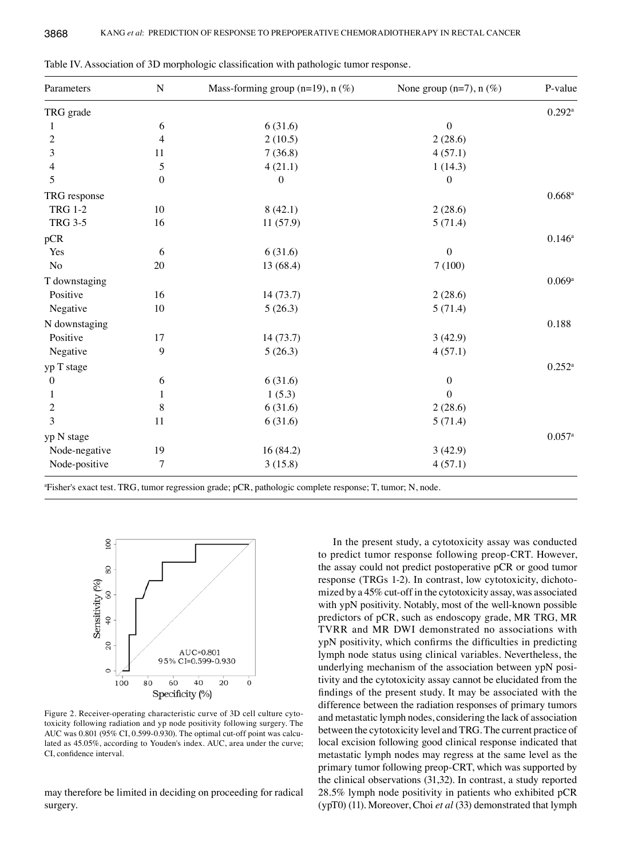| Parameters       | ${\bf N}$<br>Mass-forming group $(n=19)$ , n $(\%)$ |                  | None group $(n=7)$ , n $(\%)$ | P-value              |  |
|------------------|-----------------------------------------------------|------------------|-------------------------------|----------------------|--|
| TRG grade        |                                                     |                  |                               | $0.292^{\rm a}$      |  |
| 1                | 6                                                   | 6(31.6)          | $\mathbf{0}$                  |                      |  |
| $\overline{2}$   | 4                                                   | 2(10.5)          | 2(28.6)                       |                      |  |
| 3                | 11                                                  | 7(36.8)          | 4(57.1)                       |                      |  |
| 4                | 5                                                   | 4(21.1)          | 1(14.3)                       |                      |  |
| 5                | $\boldsymbol{0}$                                    | $\boldsymbol{0}$ | 0                             |                      |  |
| TRG response     |                                                     |                  |                               | $0.668$ <sup>a</sup> |  |
| <b>TRG 1-2</b>   | 10                                                  | 8(42.1)          | 2(28.6)                       |                      |  |
| <b>TRG 3-5</b>   | 16                                                  | 11(57.9)         | 5(71.4)                       |                      |  |
| pCR              |                                                     |                  |                               | $0.146^{\rm a}$      |  |
| Yes              | 6                                                   | 6(31.6)          | $\boldsymbol{0}$              |                      |  |
| No               | 20                                                  | 13 (68.4)        | 7(100)                        |                      |  |
| T downstaging    |                                                     |                  |                               | $0.069$ <sup>a</sup> |  |
| Positive         | 16                                                  | 14(73.7)         | 2(28.6)                       |                      |  |
| Negative         | 10                                                  | 5(26.3)          | 5(71.4)                       |                      |  |
| N downstaging    |                                                     |                  |                               | 0.188                |  |
| Positive         | 17                                                  | 14(73.7)         | 3(42.9)                       |                      |  |
| Negative         | 9                                                   | 5(26.3)          | 4(57.1)                       |                      |  |
| yp T stage       |                                                     |                  |                               | $0.252^{\rm a}$      |  |
| $\boldsymbol{0}$ | 6                                                   | 6(31.6)          | $\boldsymbol{0}$              |                      |  |
| 1                | 1                                                   | 1(5.3)           | $\theta$                      |                      |  |
| $\overline{2}$   | 8                                                   | 6(31.6)          | 2(28.6)                       |                      |  |
| 3                | 11                                                  | 6(31.6)          | 5(71.4)                       |                      |  |
| yp N stage       |                                                     |                  |                               | $0.057$ <sup>a</sup> |  |
| Node-negative    | 19                                                  | 16(84.2)         | 3(42.9)                       |                      |  |
| Node-positive    | 7                                                   | 3(15.8)          | 4(57.1)                       |                      |  |

|  |  |  |  |  |  |  |  |  |  | Table IV. Association of 3D morphologic classification with pathologic tumor response. |  |
|--|--|--|--|--|--|--|--|--|--|----------------------------------------------------------------------------------------|--|
|--|--|--|--|--|--|--|--|--|--|----------------------------------------------------------------------------------------|--|

a Fisher's exact test. TRG, tumor regression grade; pCR, pathologic complete response; T, tumor; N, node.



Figure 2. Receiver-operating characteristic curve of 3D cell culture cytotoxicity following radiation and yp node positivity following surgery. The AUC was 0.801 (95% CI, 0.599-0.930). The optimal cut-off point was calculated as 45.05%, according to Youden's index. AUC, area under the curve; CI, confidence interval.

may therefore be limited in deciding on proceeding for radical surgery.

In the present study, a cytotoxicity assay was conducted to predict tumor response following preop-CRT. However, the assay could not predict postoperative pCR or good tumor response (TRGs 1-2). In contrast, low cytotoxicity, dichotomized by a 45% cut-off in the cytotoxicity assay, was associated with ypN positivity. Notably, most of the well-known possible predictors of pCR, such as endoscopy grade, MR TRG, MR TVRR and MR DWI demonstrated no associations with ypN positivity, which confirms the difficulties in predicting lymph node status using clinical variables. Nevertheless, the underlying mechanism of the association between ypN positivity and the cytotoxicity assay cannot be elucidated from the findings of the present study. It may be associated with the difference between the radiation responses of primary tumors and metastatic lymph nodes, considering the lack of association between the cytotoxicity level and TRG. The current practice of local excision following good clinical response indicated that metastatic lymph nodes may regress at the same level as the primary tumor following preop-CRT, which was supported by the clinical observations (31,32). In contrast, a study reported 28.5% lymph node positivity in patients who exhibited pCR (ypT0) (11). Moreover, Choi *et al* (33) demonstrated that lymph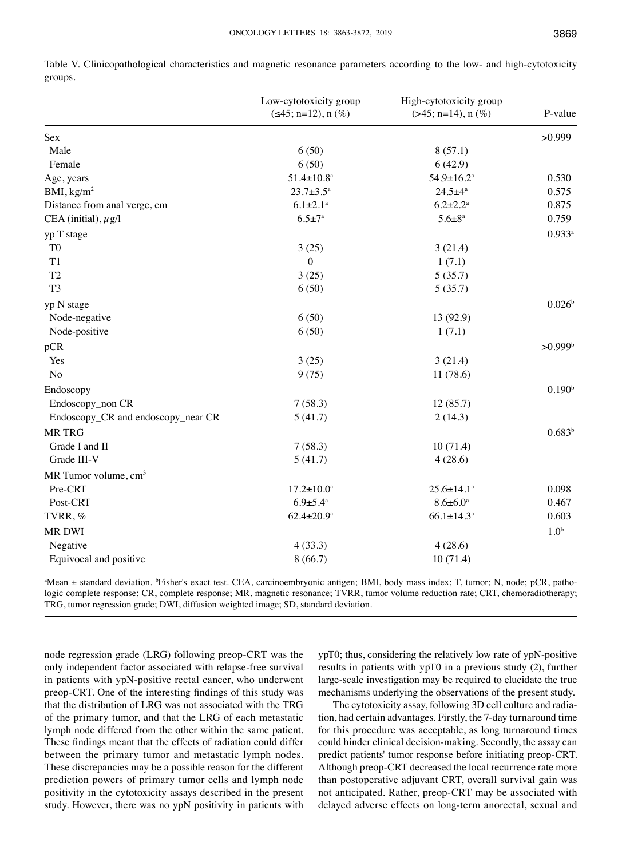|                                    | Low-cytotoxicity group<br>$(\leq 45; n=12), n (\%)$ | High-cytotoxicity group<br>$( >45; n=14)$ , n $(\%)$ | P-value               |
|------------------------------------|-----------------------------------------------------|------------------------------------------------------|-----------------------|
| Sex                                |                                                     |                                                      | >0.999                |
| Male                               | 6(50)                                               | 8(57.1)                                              |                       |
| Female                             | 6(50)                                               | 6(42.9)                                              |                       |
| Age, years                         | $51.4 \pm 10.8^a$                                   | $54.9 \pm 16.2$ <sup>a</sup>                         | 0.530                 |
| BMI, kg/m <sup>2</sup>             | $23.7 \pm 3.5^{\mathrm{a}}$                         | $24.5 + 4^a$                                         | 0.575                 |
| Distance from anal verge, cm       | $6.1 \pm 2.1^a$                                     | $6.2 \pm 2.2^a$                                      | 0.875                 |
| CEA (initial), $\mu$ g/l           | $6.5 \pm 7^{\rm a}$                                 | $5.6 + 8^a$                                          | 0.759                 |
| yp T stage                         |                                                     |                                                      | $0.933^{a}$           |
| T <sub>0</sub>                     | 3(25)                                               | 3(21.4)                                              |                       |
| T <sub>1</sub>                     | $\boldsymbol{0}$                                    | 1(7.1)                                               |                       |
| T <sub>2</sub>                     | 3(25)                                               | 5(35.7)                                              |                       |
| T <sub>3</sub>                     | 6(50)                                               | 5(35.7)                                              |                       |
| yp N stage                         |                                                     |                                                      | 0.026 <sup>b</sup>    |
| Node-negative                      | 6(50)                                               | 13 (92.9)                                            |                       |
| Node-positive                      | 6(50)                                               | 1(7.1)                                               |                       |
| pCR                                |                                                     |                                                      | $>0.999$ <sup>b</sup> |
| Yes                                | 3(25)                                               | 3(21.4)                                              |                       |
| N <sub>o</sub>                     | 9(75)                                               | 11(78.6)                                             |                       |
| Endoscopy                          |                                                     |                                                      | 0.190 <sup>b</sup>    |
| Endoscopy_non CR                   | 7(58.3)                                             | 12(85.7)                                             |                       |
| Endoscopy_CR and endoscopy_near CR | 5(41.7)                                             | 2(14.3)                                              |                       |
| <b>MR TRG</b>                      |                                                     |                                                      | $0.683^{b}$           |
| Grade I and II                     | 7(58.3)                                             | 10(71.4)                                             |                       |
| Grade III-V                        | 5(41.7)                                             | 4(28.6)                                              |                       |
| MR Tumor volume, cm <sup>3</sup>   |                                                     |                                                      |                       |
| Pre-CRT                            | $17.2 \pm 10.0^a$                                   | $25.6 \pm 14.1^a$                                    | 0.098                 |
| Post-CRT                           | $6.9{\pm}5.4^{\mathrm{a}}$                          | $8.6 \pm 6.0^a$                                      | 0.467                 |
| TVRR, %                            | $62.4 \pm 20.9^{\text{a}}$                          | $66.1 \pm 14.3$ <sup>a</sup>                         | 0.603                 |
| MR DWI                             |                                                     |                                                      | 1.0 <sup>b</sup>      |
| Negative                           | 4(33.3)                                             | 4(28.6)                                              |                       |
| Equivocal and positive             | 8(66.7)                                             | 10(71.4)                                             |                       |
|                                    |                                                     |                                                      |                       |

Table V. Clinicopathological characteristics and magnetic resonance parameters according to the low- and high-cytotoxicity groups.

<sup>a</sup>Mean ± standard deviation. <sup>b</sup>Fisher's exact test. CEA, carcinoembryonic antigen; BMI, body mass index; T, tumor; N, node; pCR, pathologic complete response; CR, complete response; MR, magnetic resonance; TVRR, tumor volume reduction rate; CRT, chemoradiotherapy; TRG, tumor regression grade; DWI, diffusion weighted image; SD, standard deviation.

node regression grade (LRG) following preop-CRT was the only independent factor associated with relapse-free survival in patients with ypN-positive rectal cancer, who underwent preop‑CRT. One of the interesting findings of this study was that the distribution of LRG was not associated with the TRG of the primary tumor, and that the LRG of each metastatic lymph node differed from the other within the same patient. These findings meant that the effects of radiation could differ between the primary tumor and metastatic lymph nodes. These discrepancies may be a possible reason for the different prediction powers of primary tumor cells and lymph node positivity in the cytotoxicity assays described in the present study. However, there was no ypN positivity in patients with ypT0; thus, considering the relatively low rate of ypN-positive results in patients with ypT0 in a previous study (2), further large-scale investigation may be required to elucidate the true mechanisms underlying the observations of the present study.

The cytotoxicity assay, following 3D cell culture and radiation, had certain advantages. Firstly, the 7-day turnaround time for this procedure was acceptable, as long turnaround times could hinder clinical decision‑making. Secondly, the assay can predict patients' tumor response before initiating preop-CRT. Although preop-CRT decreased the local recurrence rate more than postoperative adjuvant CRT, overall survival gain was not anticipated. Rather, preop-CRT may be associated with delayed adverse effects on long-term anorectal, sexual and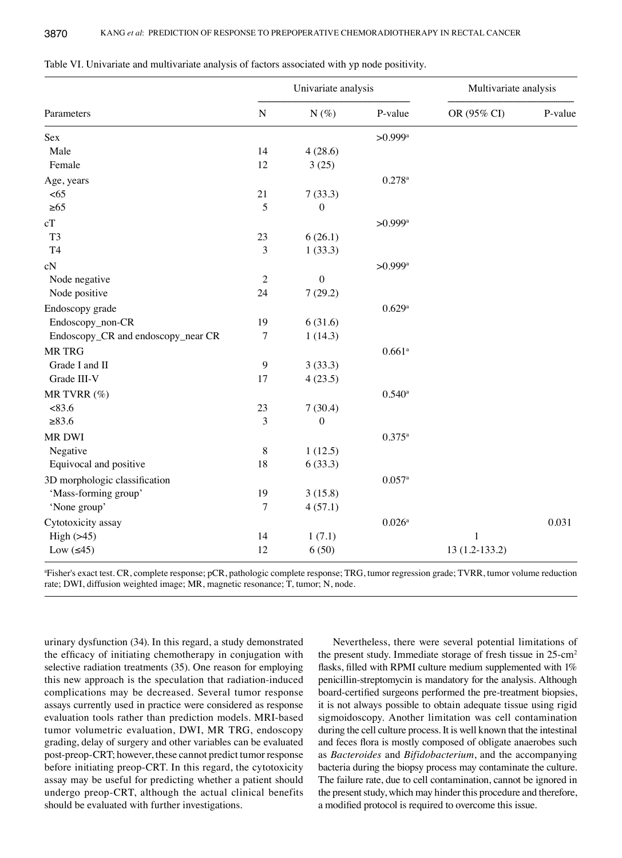|                                    |                | Univariate analysis |                       | Multivariate analysis |         |
|------------------------------------|----------------|---------------------|-----------------------|-----------------------|---------|
| Parameters                         | $\mathbf N$    | $N\left(\%\right)$  | P-value               | OR (95% CI)           | P-value |
| Sex                                |                |                     | $>0.999$ <sup>a</sup> |                       |         |
| Male                               | 14             | 4(28.6)             |                       |                       |         |
| Female                             | 12             | 3(25)               |                       |                       |         |
| Age, years                         |                |                     | $0.278^{\rm a}$       |                       |         |
| <65                                | 21             | 7(33.3)             |                       |                       |         |
| $\geq 65$                          | 5              | 0                   |                       |                       |         |
| cT                                 |                |                     | $>0.999$ <sup>a</sup> |                       |         |
| T <sub>3</sub>                     | 23             | 6(26.1)             |                       |                       |         |
| T <sub>4</sub>                     | 3              | 1(33.3)             |                       |                       |         |
| cN                                 |                |                     | $>0.999$ <sup>a</sup> |                       |         |
| Node negative                      | $\mathfrak{2}$ | $\boldsymbol{0}$    |                       |                       |         |
| Node positive                      | 24             | 7(29.2)             |                       |                       |         |
| Endoscopy grade                    |                |                     | 0.629a                |                       |         |
| Endoscopy_non-CR                   | 19             | 6(31.6)             |                       |                       |         |
| Endoscopy_CR and endoscopy_near CR | 7              | 1(14.3)             |                       |                       |         |
| <b>MR TRG</b>                      |                |                     | $0.661^\mathrm{a}$    |                       |         |
| Grade I and II                     | 9              | 3(33.3)             |                       |                       |         |
| Grade III-V                        | 17             | 4(23.5)             |                       |                       |         |
| MR TVRR (%)                        |                |                     | $0.540^{\rm a}$       |                       |         |
| < 83.6                             | 23             | 7(30.4)             |                       |                       |         |
| $\geq 83.6$                        | 3              | $\boldsymbol{0}$    |                       |                       |         |
| MR DWI                             |                |                     | $0.375^{\rm a}$       |                       |         |
| Negative                           | $\,$ 8 $\,$    | 1(12.5)             |                       |                       |         |
| Equivocal and positive             | 18             | 6(33.3)             |                       |                       |         |
| 3D morphologic classification      |                |                     | $0.057$ <sup>a</sup>  |                       |         |
| 'Mass-forming group'               | 19             | 3(15.8)             |                       |                       |         |
| 'None group'                       | 7              | 4(57.1)             |                       |                       |         |
| Cytotoxicity assay                 |                |                     | $0.026$ <sup>a</sup>  |                       | 0.031   |
| High $($ -45 $)$                   | 14             | 1(7.1)              |                       | $\mathbf{1}$          |         |
| Low $(\leq 45)$                    | 12             | 6(50)               |                       | $13(1.2-133.2)$       |         |

| Table VI. Univariate and multivariate analysis of factors associated with yp node positivity. |  |
|-----------------------------------------------------------------------------------------------|--|
|-----------------------------------------------------------------------------------------------|--|

a Fisher's exact test. CR, complete response; pCR, pathologic complete response; TRG, tumor regression grade; TVRR, tumor volume reduction rate; DWI, diffusion weighted image; MR, magnetic resonance; T, tumor; N, node.

urinary dysfunction (34). In this regard, a study demonstrated the efficacy of initiating chemotherapy in conjugation with selective radiation treatments (35). One reason for employing this new approach is the speculation that radiation-induced complications may be decreased. Several tumor response assays currently used in practice were considered as response evaluation tools rather than prediction models. MRI-based tumor volumetric evaluation, DWI, MR TRG, endoscopy grading, delay of surgery and other variables can be evaluated post-preop-CRT; however, these cannot predict tumor response before initiating preop-CRT. In this regard, the cytotoxicity assay may be useful for predicting whether a patient should undergo preop-CRT, although the actual clinical benefits should be evaluated with further investigations.

Nevertheless, there were several potential limitations of the present study. Immediate storage of fresh tissue in 25-cm2 flasks, filled with RPMI culture medium supplemented with 1% penicillin-streptomycin is mandatory for the analysis. Although board‑certified surgeons performed the pre‑treatment biopsies, it is not always possible to obtain adequate tissue using rigid sigmoidoscopy. Another limitation was cell contamination during the cell culture process. It is well known that the intestinal and feces flora is mostly composed of obligate anaerobes such as *Bacteroides* and *Bifidobacterium*, and the accompanying bacteria during the biopsy process may contaminate the culture. The failure rate, due to cell contamination, cannot be ignored in the present study, which may hinder this procedure and therefore, a modified protocol is required to overcome this issue.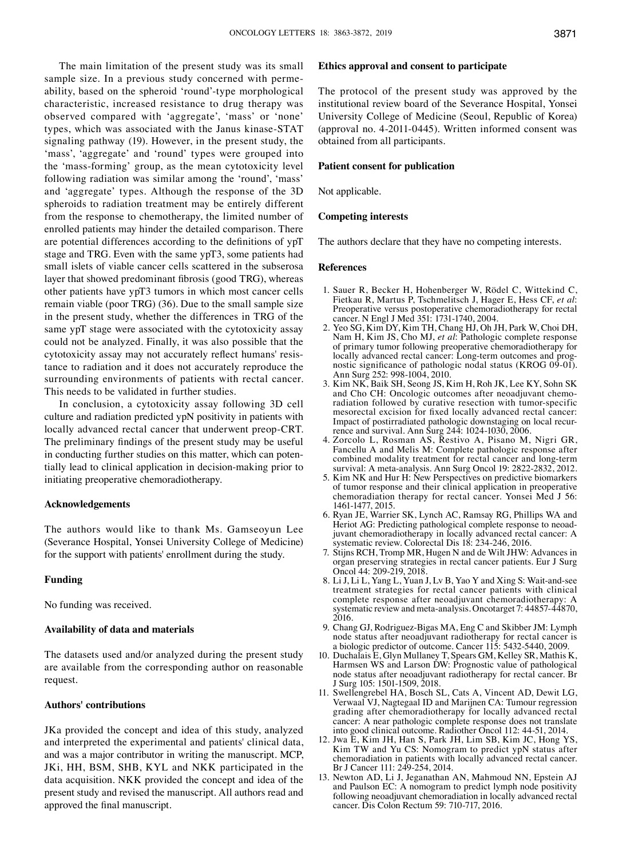The main limitation of the present study was its small sample size. In a previous study concerned with permeability, based on the spheroid 'round'-type morphological characteristic, increased resistance to drug therapy was observed compared with 'aggregate', 'mass' or 'none' types, which was associated with the Janus kinase‑STAT signaling pathway (19). However, in the present study, the 'mass', 'aggregate' and 'round' types were grouped into the 'mass-forming' group, as the mean cytotoxicity level following radiation was similar among the 'round', 'mass' and 'aggregate' types. Although the response of the 3D spheroids to radiation treatment may be entirely different from the response to chemotherapy, the limited number of enrolled patients may hinder the detailed comparison. There are potential differences according to the definitions of ypT stage and TRG. Even with the same ypT3, some patients had small islets of viable cancer cells scattered in the subserosa layer that showed predominant fibrosis (good TRG), whereas other patients have ypT3 tumors in which most cancer cells remain viable (poor TRG) (36). Due to the small sample size in the present study, whether the differences in TRG of the same ypT stage were associated with the cytotoxicity assay could not be analyzed. Finally, it was also possible that the cytotoxicity assay may not accurately reflect humans' resistance to radiation and it does not accurately reproduce the surrounding environments of patients with rectal cancer. This needs to be validated in further studies.

In conclusion, a cytotoxicity assay following 3D cell culture and radiation predicted ypN positivity in patients with locally advanced rectal cancer that underwent preop-CRT. The preliminary findings of the present study may be useful in conducting further studies on this matter, which can potentially lead to clinical application in decision‑making prior to initiating preoperative chemoradiotherapy.

## **Acknowledgements**

The authors would like to thank Ms. Gamseoyun Lee (Severance Hospital, Yonsei University College of Medicine) for the support with patients' enrollment during the study.

#### **Funding**

No funding was received.

# **Availability of data and materials**

The datasets used and/or analyzed during the present study are available from the corresponding author on reasonable request.

# **Authors' contributions**

JKa provided the concept and idea of this study, analyzed and interpreted the experimental and patients' clinical data, and was a major contributor in writing the manuscript. MCP, JKi, HH, BSM, SHB, KYL and NKK participated in the data acquisition. NKK provided the concept and idea of the present study and revised the manuscript. All authors read and approved the final manuscript.

#### **Ethics approval and consent to participate**

The protocol of the present study was approved by the institutional review board of the Severance Hospital, Yonsei University College of Medicine (Seoul, Republic of Korea) (approval no. 4-2011-0445). Written informed consent was obtained from all participants.

#### **Patient consent for publication**

Not applicable.

## **Competing interests**

The authors declare that they have no competing interests.

#### **References**

- 1. Sauer R, Becker H, Hohenberger W, Rödel C, Wittekind C, Fietkau R, Martus P, Tschmelitsch J, Hager E, Hess CF, et al: Preoperative versus postoperative chemoradiotherapy for rectal cancer. N Engl J Med 351: 1731-1740, 2004.
- 2. Yeo SG, Kim DY, Kim TH, Chang HJ, Oh JH, Park W, Choi DH, Nam H, Kim JS, Cho MJ, *et al*: Pathologic complete response of primary tumor following preoperative chemoradiotherapy for locally advanced rectal cancer: Long-term outcomes and prognostic significance of pathologic nodal status (KROG 09‑01). Ann Surg 252: 998-1004, 2010.
- 3. Kim NK, Baik SH, Seong JS, Kim H, Roh JK, Lee KY, Sohn SK radiation followed by curative resection with tumor-specific mesorectal excision for fixed locally advanced rectal cancer: Impact of postirradiated pathologic downstaging on local recur- rence and survival. Ann Surg 244: 1024-1030, 2006.
- 4. Zorcolo L, Rosman AS, Restivo A, Pisano M, Nigri GR, Fancellu A and Melis M: Complete pathologic response after combined modality treatment for rectal cancer and long-term survival: A meta-analysis. Ann Surg Oncol 19: 2822-2832, 2012.
- 5. Kim NK and Hur H: New Perspectives on predictive biomarkers of tumor response and their clinical application in preoperative chemoradiation therapy for rectal cancer. Yonsei Med J 56: 1461-1477, 2015.
- 6. Ryan JE, Warrier SK, Lynch AC, Ramsay RG, Phillips WA and Heriot AG: Predicting pathological complete response to neoad- juvant chemoradiotherapy in locally advanced rectal cancer: A systematic review. Colorectal Dis 18: 234-246, 2016.
- 7. Stijns RCH, Tromp MR, Hugen N and de Wilt JHW: Advances in organ preserving strategies in rectal cancer patients. Eur J Surg Oncol 44: 209-219, 2018.<br>8. Li J, Li L, Yang L, Yuan J, Ly B, Yao Y and Xing S: Wait-and-see
- treatment strategies for rectal cancer patients with clinical complete response after neoadjuvant chemoradiotherapy: A systematic review and meta-analysis. Oncotarget 7: 44857-44870, 2016.
- 9. Chang GJ, Rodriguez-Bigas MA, Eng C and Skibber JM: Lymph node status after neoadjuvant radiotherapy for rectal cancer is a biologic predictor of outcome. Cancer 115: 5432-5440, 2009.
- 10. Duchalais E, Glyn Mullaney T, Spears GM, Kelley SR, Mathis K, Harmsen WS and Larson DW: Prognostic value of pathological node status after neoadjuvant radiotherapy for rectal cancer. Br J Surg 105: 1501-1509, 2018.
- 11. Swellengrebel HA, Bosch SL, Cats A, Vincent AD, Dewit LG, Verwaal VJ, Nagtegaal ID and Marijnen CA: Tumour regression grading after chemoradiotherapy for locally advanced rectal cancer: A near pathologic complete response does not translate into good clinical outcome. Radiother Oncol 112: 44-51, 2014.
- 12. Jwa E, Kim JH, Han S, Park JH, Lim SB, Kim JC, Hong YS, Kim TW and Yu CS: Nomogram to predict ypN status after chemoradiation in patients with locally advanced rectal cancer. Br J Cancer 111: 249-254, 2014.
- 13. Newton AD, Li J, Jeganathan AN, Mahmoud NN, Epstein AJ and Paulson EC: A nomogram to predict lymph node positivity following neoadjuvant chemoradiation in locally advanced rectal cancer. Dis Colon Rectum 59: 710-717, 2016.